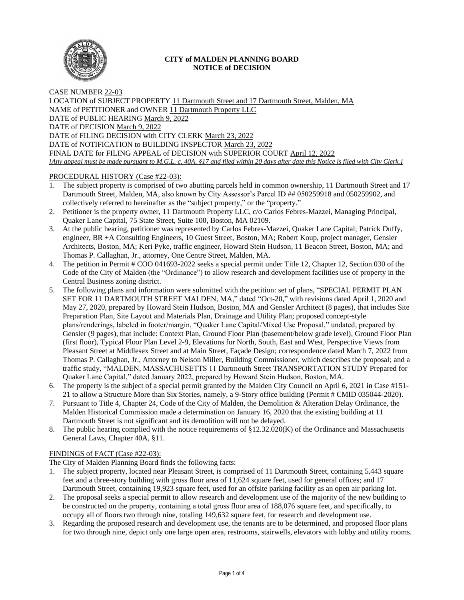

## **CITY of MALDEN PLANNING BOARD NOTICE of DECISION**

CASE NUMBER 22-03 LOCATION of SUBJECT PROPERTY 11 Dartmouth Street and 17 Dartmouth Street, Malden, MA NAME of PETITIONER and OWNER 11 Dartmouth Property LLC DATE of PUBLIC HEARING March 9, 2022 DATE of DECISION March 9, 2022 DATE of FILING DECISION with CITY CLERK March 23, 2022 DATE of NOTIFICATION to BUILDING INSPECTOR March 23, 2022 FINAL DATE for FILING APPEAL of DECISION with SUPERIOR COURT April 12, 2022 *[Any appeal must be made pursuant to M.G.L. c. 40A, §17 and filed within 20 days after date this Notice is filed with City Clerk.]* 

# PROCEDURAL HISTORY (Case #22-03):

- 1. The subject property is comprised of two abutting parcels held in common ownership, 11 Dartmouth Street and 17 Dartmouth Street, Malden, MA, also known by City Assessor's Parcel ID ## 050259918 and 050259902, and collectively referred to hereinafter as the "subject property," or the "property."
- 2. Petitioner is the property owner, 11 Dartmouth Property LLC, c/o Carlos Febres-Mazzei, Managing Principal, Quaker Lane Capital, 75 State Street, Suite 100, Boston, MA 02109.
- 3. At the public hearing, petitioner was represented by Carlos Febres-Mazzei, Quaker Lane Capital; Patrick Duffy, engineer, BR +A Consulting Engineers, 10 Guest Street, Boston, MA; Robert Koup, project manager, Gensler Architects, Boston, MA; Keri Pyke, traffic engineer, Howard Stein Hudson, 11 Beacon Street, Boston, MA; and Thomas P. Callaghan, Jr., attorney, One Centre Street, Malden, MA.
- 4. The petition in Permit # COO 041693-2022 seeks a special permit under Title 12, Chapter 12, Section 030 of the Code of the City of Malden (the "Ordinance") to allow research and development facilities use of property in the Central Business zoning district.
- 5. The following plans and information were submitted with the petition: set of plans, "SPECIAL PERMIT PLAN SET FOR 11 DARTMOUTH STREET MALDEN, MA," dated "Oct-20," with revisions dated April 1, 2020 and May 27, 2020, prepared by Howard Stein Hudson, Boston, MA and Gensler Architect (8 pages), that includes Site Preparation Plan, Site Layout and Materials Plan, Drainage and Utility Plan; proposed concept-style plans/renderings, labeled in footer/margin, "Quaker Lane Capital/Mixed Use Proposal," undated, prepared by Gensler (9 pages), that include: Context Plan, Ground Floor Plan (basement/below grade level), Ground Floor Plan (first floor), Typical Floor Plan Level 2-9, Elevations for North, South, East and West, Perspective Views from Pleasant Street at Middlesex Street and at Main Street, Façade Design; correspondence dated March 7, 2022 from Thomas P. Callaghan, Jr., Attorney to Nelson Miller, Building Commissioner, which describes the proposal; and a traffic study, "MALDEN, MASSACHUSETTS 11 Dartmouth Street TRANSPORTATION STUDY Prepared for Quaker Lane Capital," dated January 2022, prepared by Howard Stein Hudson, Boston, MA.
- 6. The property is the subject of a special permit granted by the Malden City Council on April 6, 2021 in Case #151- 21 to allow a Structure More than Six Stories, namely, a 9-Story office building (Permit # CMID 035044-2020).
- 7. Pursuant to Title 4, Chapter 24, Code of the City of Malden, the Demolition & Alteration Delay Ordinance, the Malden Historical Commission made a determination on January 16, 2020 that the existing building at 11 Dartmouth Street is not significant and its demolition will not be delayed.
- 8. The public hearing complied with the notice requirements of §12.32.020(K) of the Ordinance and Massachusetts General Laws, Chapter 40A, §11.

# FINDINGS of FACT (Case #22-03):

The City of Malden Planning Board finds the following facts:

- 1. The subject property, located near Pleasant Street, is comprised of 11 Dartmouth Street, containing 5,443 square feet and a three-story building with gross floor area of 11,624 square feet, used for general offices; and 17 Dartmouth Street, containing 19,923 square feet, used for an offsite parking facility as an open air parking lot.
- 2. The proposal seeks a special permit to allow research and development use of the majority of the new building to be constructed on the property, containing a total gross floor area of 188,076 square feet, and specifically, to occupy all of floors two through nine, totaling 149,632 square feet, for research and development use.
- 3. Regarding the proposed research and development use, the tenants are to be determined, and proposed floor plans for two through nine, depict only one large open area, restrooms, stairwells, elevators with lobby and utility rooms.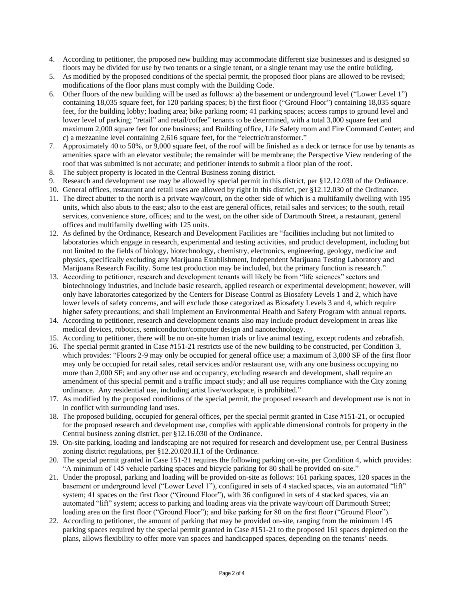- 4. According to petitioner, the proposed new building may accommodate different size businesses and is designed so floors may be divided for use by two tenants or a single tenant, or a single tenant may use the entire building.
- 5. As modified by the proposed conditions of the special permit, the proposed floor plans are allowed to be revised; modifications of the floor plans must comply with the Building Code.
- 6. Other floors of the new building will be used as follows: a) the basement or underground level ("Lower Level 1") containing 18,035 square feet, for 120 parking spaces; b) the first floor ("Ground Floor") containing 18,035 square feet, for the building lobby; loading area; bike parking room; 41 parking spaces; access ramps to ground level and lower level of parking; "retail" and retail/coffee" tenants to be determined, with a total 3,000 square feet and maximum 2,000 square feet for one business; and Building office, Life Safety room and Fire Command Center; and c) a mezzanine level containing 2,616 square feet, for the "electric/transformer."
- 7. Approximately 40 to 50%, or 9,000 square feet, of the roof will be finished as a deck or terrace for use by tenants as amenities space with an elevator vestibule; the remainder will be membrane; the Perspective View rendering of the roof that was submitted is not accurate; and petitioner intends to submit a floor plan of the roof.
- 8. The subject property is located in the Central Business zoning district.
- 9. Research and development use may be allowed by special permit in this district, per §12.12.030 of the Ordinance.
- 10. General offices, restaurant and retail uses are allowed by right in this district, per §12.12.030 of the Ordinance.
- 11. The direct abutter to the north is a private way/court, on the other side of which is a multifamily dwelling with 195 units, which also abuts to the east; also to the east are general offices, retail sales and services; to the south, retail services, convenience store, offices; and to the west, on the other side of Dartmouth Street, a restaurant, general offices and multifamily dwelling with 125 units.
- 12. As defined by the Ordinance, Research and Development Facilities are "facilities including but not limited to laboratories which engage in research, experimental and testing activities, and product development, including but not limited to the fields of biology, biotechnology, chemistry, electronics, engineering, geology, medicine and physics, specifically excluding any Marijuana Establishment, Independent Marijuana Testing Laboratory and Marijuana Research Facility. Some test production may be included, but the primary function is research."
- 13. According to petitioner, research and development tenants will likely be from "life sciences" sectors and biotechnology industries, and include basic research, applied research or experimental development; however, will only have laboratories categorized by the Centers for Disease Control as Biosafety Levels 1 and 2, which have lower levels of safety concerns, and will exclude those categorized as Biosafety Levels 3 and 4, which require higher safety precautions; and shall implement an Environmental Health and Safety Program with annual reports.
- 14. According to petitioner, research and development tenants also may include product development in areas like medical devices, robotics, semiconductor/computer design and nanotechnology.
- 15. According to petitioner, there will be no on-site human trials or live animal testing, except rodents and zebrafish.
- 16. The special permit granted in Case #151-21 restricts use of the new building to be constructed, per Condition 3, which provides: "Floors 2-9 may only be occupied for general office use; a maximum of 3,000 SF of the first floor may only be occupied for retail sales, retail services and/or restaurant use, with any one business occupying no more than 2,000 SF; and any other use and occupancy, excluding research and development, shall require an amendment of this special permit and a traffic impact study; and all use requires compliance with the City zoning ordinance. Any residential use, including artist live/workspace, is prohibited."
- 17. As modified by the proposed conditions of the special permit, the proposed research and development use is not in in conflict with surrounding land uses.
- 18. The proposed building, occupied for general offices, per the special permit granted in Case #151-21, or occupied for the proposed research and development use, complies with applicable dimensional controls for property in the Central business zoning district, per §12.16.030 of the Ordinance.
- 19. On-site parking, loading and landscaping are not required for research and development use, per Central Business zoning district regulations, per §12.20.020.H.1 of the Ordinance.
- 20. The special permit granted in Case 151-21 requires the following parking on-site, per Condition 4, which provides: "A minimum of 145 vehicle parking spaces and bicycle parking for 80 shall be provided on-site."
- 21. Under the proposal, parking and loading will be provided on-site as follows: 161 parking spaces, 120 spaces in the basement or underground level ("Lower Level 1"), configured in sets of 4 stacked spaces, via an automated "lift" system; 41 spaces on the first floor ("Ground Floor"), with 36 configured in sets of 4 stacked spaces, via an automated "lift" system; access to parking and loading areas via the private way/court off Dartmouth Street; loading area on the first floor ("Ground Floor"); and bike parking for 80 on the first floor ("Ground Floor").
- 22. According to petitioner, the amount of parking that may be provided on-site, ranging from the minimum 145 parking spaces required by the special permit granted in Case #151-21 to the proposed 161 spaces depicted on the plans, allows flexibility to offer more van spaces and handicapped spaces, depending on the tenants' needs.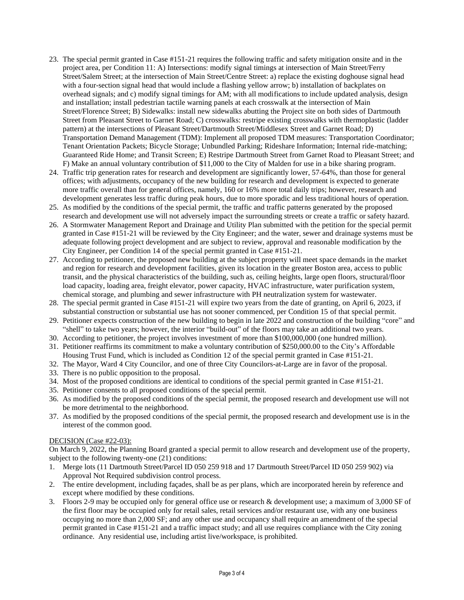- 23. The special permit granted in Case #151-21 requires the following traffic and safety mitigation onsite and in the project area, per Condition 11: A) Intersections: modify signal timings at intersection of Main Street/Ferry Street/Salem Street; at the intersection of Main Street/Centre Street: a) replace the existing doghouse signal head with a four-section signal head that would include a flashing yellow arrow; b) installation of backplates on overhead signals; and c) modify signal timings for AM; with all modifications to include updated analysis, design and installation; install pedestrian tactile warning panels at each crosswalk at the intersection of Main Street/Florence Street; B) Sidewalks: install new sidewalks abutting the Project site on both sides of Dartmouth Street from Pleasant Street to Garnet Road; C) crosswalks: restripe existing crosswalks with thermoplastic (ladder pattern) at the intersections of Pleasant Street/Dartmouth Street/Middlesex Street and Garnet Road; D) Transportation Demand Management (TDM): Implement all proposed TDM measures: Transportation Coordinator; Tenant Orientation Packets; Bicycle Storage; Unbundled Parking; Rideshare Information; Internal ride-matching; Guaranteed Ride Home; and Transit Screen; E) Restripe Dartmouth Street from Garnet Road to Pleasant Street; and F) Make an annual voluntary contribution of \$11,000 to the City of Malden for use in a bike sharing program.
- 24. Traffic trip generation rates for research and development are significantly lower, 57-64%, than those for general offices; with adjustments, occupancy of the new building for research and development is expected to generate more traffic overall than for general offices, namely, 160 or 16% more total daily trips; however, research and development generates less traffic during peak hours, due to more sporadic and less traditional hours of operation.
- 25. As modified by the conditions of the special permit, the traffic and traffic patterns generated by the proposed research and development use will not adversely impact the surrounding streets or create a traffic or safety hazard.
- 26. A Stormwater Management Report and Drainage and Utility Plan submitted with the petition for the special permit granted in Case #151-21 will be reviewed by the City Engineer; and the water, sewer and drainage systems must be adequate following project development and are subject to review, approval and reasonable modification by the City Engineer, per Condition 14 of the special permit granted in Case #151-21.
- 27. According to petitioner, the proposed new building at the subject property will meet space demands in the market and region for research and development facilities, given its location in the greater Boston area, access to public transit, and the physical characteristics of the building, such as, ceiling heights, large open floors, structural/floor load capacity, loading area, freight elevator, power capacity, HVAC infrastructure, water purification system, chemical storage, and plumbing and sewer infrastructure with PH neutralization system for wastewater.
- 28. The special permit granted in Case #151-21 will expire two years from the date of granting, on April 6, 2023, if substantial construction or substantial use has not sooner commenced, per Condition 15 of that special permit.
- 29. Petitioner expects construction of the new building to begin in late 2022 and construction of the building "core" and "shell" to take two years; however, the interior "build-out" of the floors may take an additional two years.
- 30. According to petitioner, the project involves investment of more than \$100,000,000 (one hundred million).
- 31. Petitioner reaffirms its commitment to make a voluntary contribution of \$250,000.00 to the City's Affordable Housing Trust Fund, which is included as Condition 12 of the special permit granted in Case #151-21.
- 32. The Mayor, Ward 4 City Councilor, and one of three City Councilors-at-Large are in favor of the proposal.
- 33. There is no public opposition to the proposal.
- 34. Most of the proposed conditions are identical to conditions of the special permit granted in Case #151-21.
- 35. Petitioner consents to all proposed conditions of the special permit.
- 36. As modified by the proposed conditions of the special permit, the proposed research and development use will not be more detrimental to the neighborhood.
- 37. As modified by the proposed conditions of the special permit, the proposed research and development use is in the interest of the common good.

### DECISION (Case #22-03):

On March 9, 2022, the Planning Board granted a special permit to allow research and development use of the property, subject to the following twenty-one  $(21)$  conditions:

- 1. Merge lots (11 Dartmouth Street/Parcel ID 050 259 918 and 17 Dartmouth Street/Parcel ID 050 259 902) via Approval Not Required subdivision control process.
- 2. The entire development, including façades, shall be as per plans, which are incorporated herein by reference and except where modified by these conditions.
- 3. Floors 2-9 may be occupied only for general office use or research & development use; a maximum of 3,000 SF of the first floor may be occupied only for retail sales, retail services and/or restaurant use, with any one business occupying no more than 2,000 SF; and any other use and occupancy shall require an amendment of the special permit granted in Case #151-21 and a traffic impact study; and all use requires compliance with the City zoning ordinance. Any residential use, including artist live/workspace, is prohibited.